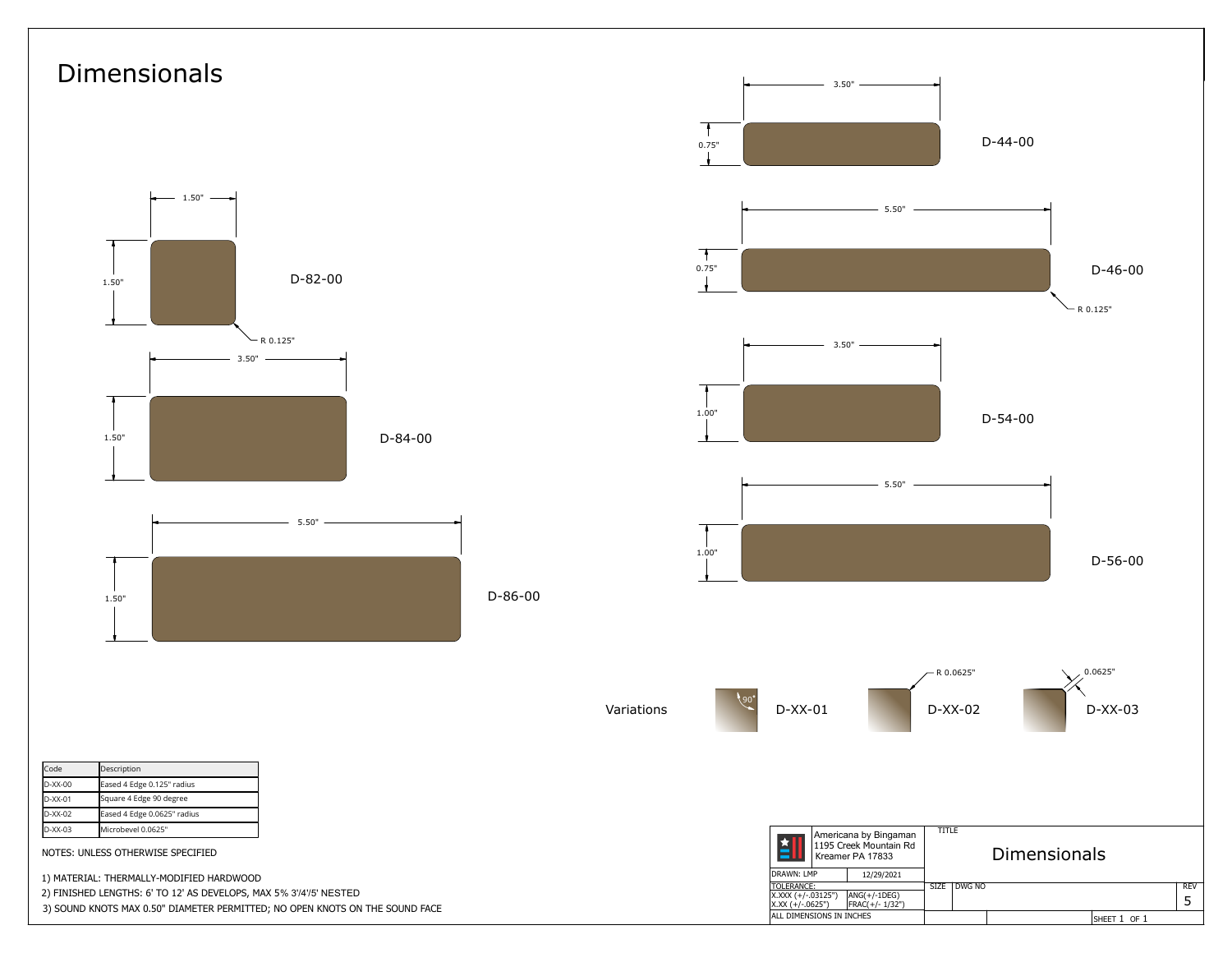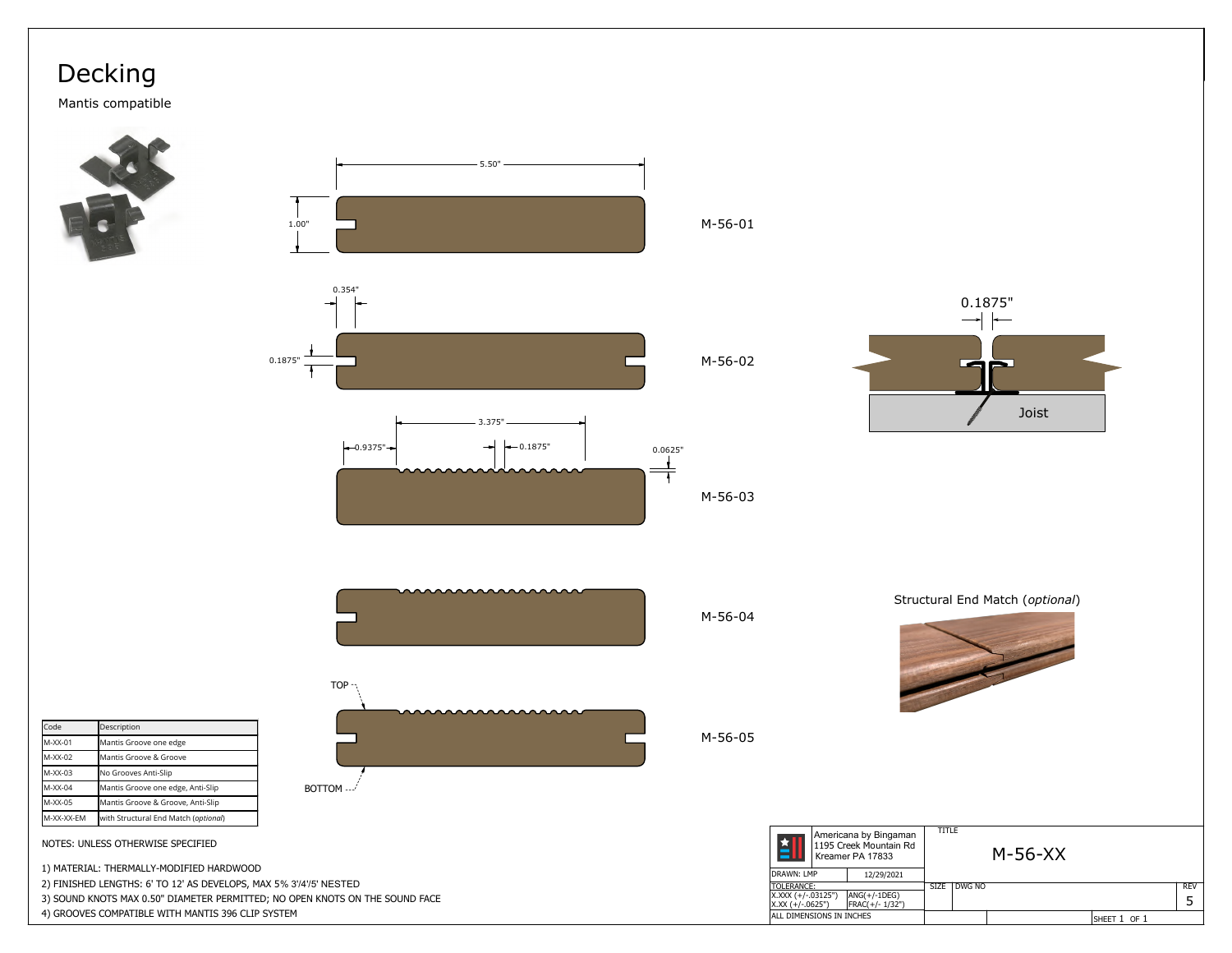## Decking

Mantis compatible











| <b>Code</b> | Description                          |  |  |  |  |
|-------------|--------------------------------------|--|--|--|--|
| M-XX-01     | Mantis Groove one edge               |  |  |  |  |
| M-XX-02     | Mantis Groove & Groove               |  |  |  |  |
| M-XX-03     | No Grooves Anti-Slip                 |  |  |  |  |
| M-XX-04     | Mantis Groove one edge, Anti-Slip    |  |  |  |  |
| M-XX-05     | Mantis Groove & Groove, Anti-Slip    |  |  |  |  |
| lM-XX-XX-EM | with Structural End Match (optional) |  |  |  |  |



NOTES: UNLESS OTHERWISE SPECIFIED

1) MATERIAL: THERMALLY-MODIFIED HARDWOOD

2) FINISHED LENGTHS: 6' TO 12' AS DEVELOPS, MAX 5% 3'/4'/5' NESTED

3) SOUND KNOTS MAX 0.50" DIAMETER PERMITTED; NO OPEN KNOTS ON THE SOUND FACE

4) GROOVES COMPATIBLE WITH MANTIS 396 CLIP SYSTEM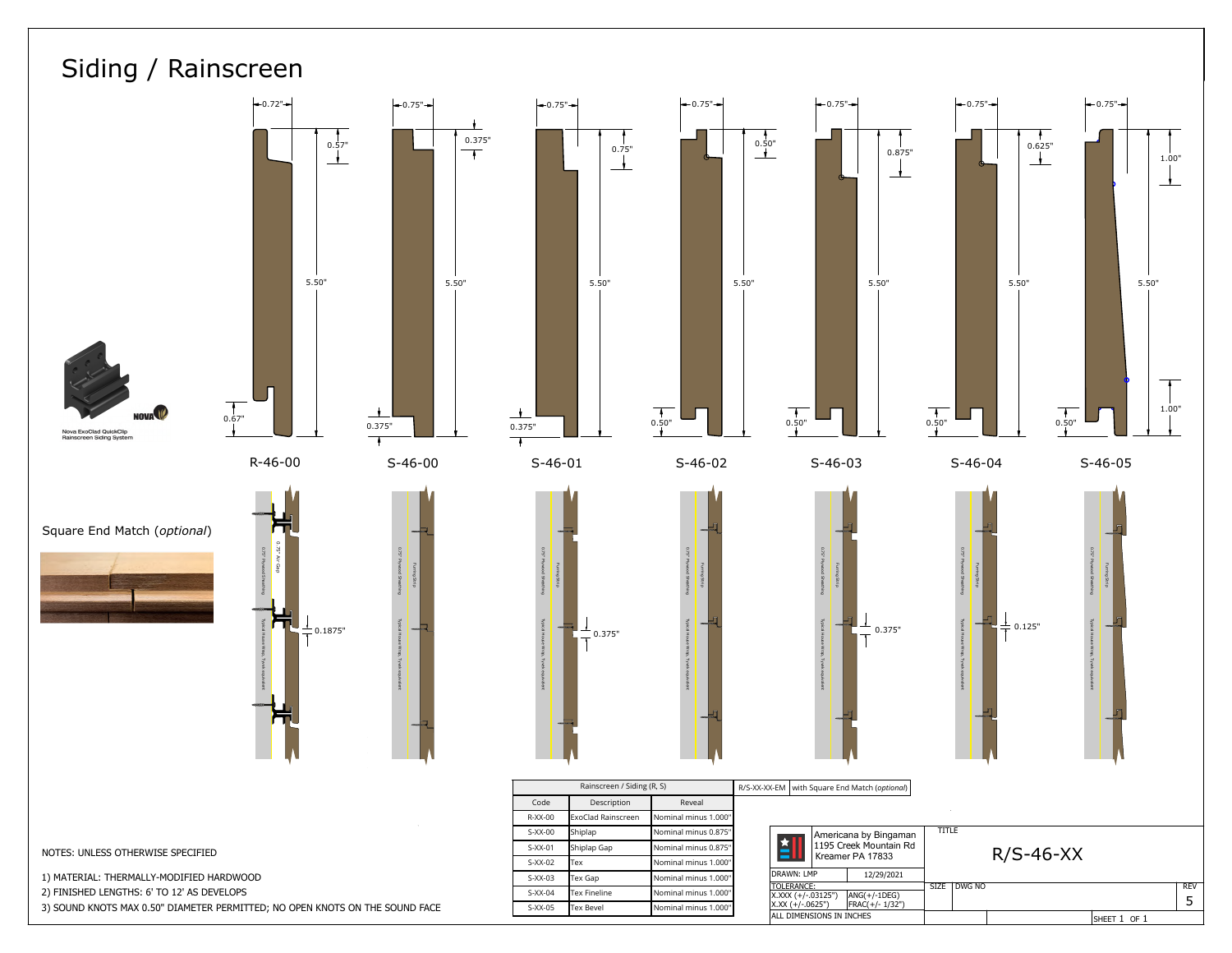